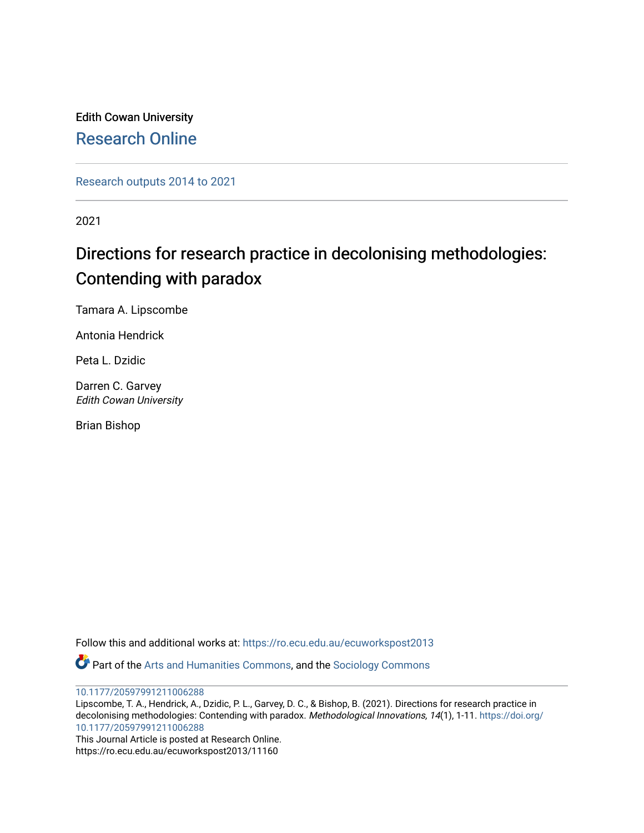Edith Cowan University [Research Online](https://ro.ecu.edu.au/) 

[Research outputs 2014 to 2021](https://ro.ecu.edu.au/ecuworkspost2013) 

2021

# Directions for research practice in decolonising methodologies: Contending with paradox

Tamara A. Lipscombe

Antonia Hendrick

Peta L. Dzidic

Darren C. Garvey Edith Cowan University

Brian Bishop

Follow this and additional works at: [https://ro.ecu.edu.au/ecuworkspost2013](https://ro.ecu.edu.au/ecuworkspost2013?utm_source=ro.ecu.edu.au%2Fecuworkspost2013%2F11160&utm_medium=PDF&utm_campaign=PDFCoverPages) 

Part of the [Arts and Humanities Commons,](http://network.bepress.com/hgg/discipline/438?utm_source=ro.ecu.edu.au%2Fecuworkspost2013%2F11160&utm_medium=PDF&utm_campaign=PDFCoverPages) and the [Sociology Commons](http://network.bepress.com/hgg/discipline/416?utm_source=ro.ecu.edu.au%2Fecuworkspost2013%2F11160&utm_medium=PDF&utm_campaign=PDFCoverPages) 

[10.1177/20597991211006288](http://dx.doi.org/10.1177/20597991211006288)

Lipscombe, T. A., Hendrick, A., Dzidic, P. L., Garvey, D. C., & Bishop, B. (2021). Directions for research practice in decolonising methodologies: Contending with paradox. Methodological Innovations, 14(1), 1-11. [https://doi.org/](https://doi.org/10.1177/20597991211006288) [10.1177/20597991211006288](https://doi.org/10.1177/20597991211006288)

This Journal Article is posted at Research Online. https://ro.ecu.edu.au/ecuworkspost2013/11160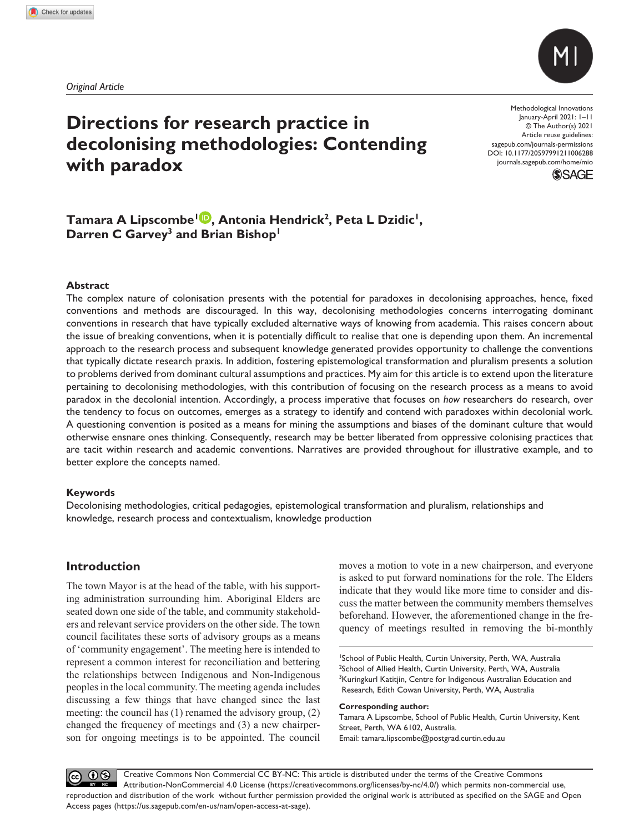*Original Article*

# **Directions for research practice in decolonising methodologies: Contending with paradox**

DOI: 10.1177/20597991211006288 Methodological Innovations January-April 2021: 1–11 © The Author(s) 2021 Article reuse guidelines: [sagepub.com/journals-permissions](https://uk.sagepub.com/en-gb/journals-permissions) [journals.sagepub.com/home/mio](https://journals.sagepub.com/home/mio)



# Tamara A Lipscombe<sup>1</sup><sup>0</sup>, Antonia Hendrick<sup>2</sup>, Peta L Dzidic<sup>1</sup>, Darren C Garvey<sup>3</sup> and Brian Bishop<sup>1</sup>

# **Abstract**

The complex nature of colonisation presents with the potential for paradoxes in decolonising approaches, hence, fixed conventions and methods are discouraged. In this way, decolonising methodologies concerns interrogating dominant conventions in research that have typically excluded alternative ways of knowing from academia. This raises concern about the issue of breaking conventions, when it is potentially difficult to realise that one is depending upon them. An incremental approach to the research process and subsequent knowledge generated provides opportunity to challenge the conventions that typically dictate research praxis. In addition, fostering epistemological transformation and pluralism presents a solution to problems derived from dominant cultural assumptions and practices. My aim for this article is to extend upon the literature pertaining to decolonising methodologies, with this contribution of focusing on the research process as a means to avoid paradox in the decolonial intention. Accordingly, a process imperative that focuses on *how* researchers do research, over the tendency to focus on outcomes, emerges as a strategy to identify and contend with paradoxes within decolonial work. A questioning convention is posited as a means for mining the assumptions and biases of the dominant culture that would otherwise ensnare ones thinking. Consequently, research may be better liberated from oppressive colonising practices that are tacit within research and academic conventions. Narratives are provided throughout for illustrative example, and to better explore the concepts named.

# **Keywords**

Decolonising methodologies, critical pedagogies, epistemological transformation and pluralism, relationships and knowledge, research process and contextualism, knowledge production

# **Introduction**

The town Mayor is at the head of the table, with his supporting administration surrounding him. Aboriginal Elders are seated down one side of the table, and community stakeholders and relevant service providers on the other side. The town council facilitates these sorts of advisory groups as a means of 'community engagement'. The meeting here is intended to represent a common interest for reconciliation and bettering the relationships between Indigenous and Non-Indigenous peoples in the local community. The meeting agenda includes discussing a few things that have changed since the last meeting: the council has (1) renamed the advisory group, (2) changed the frequency of meetings and (3) a new chairperson for ongoing meetings is to be appointed. The council moves a motion to vote in a new chairperson, and everyone is asked to put forward nominations for the role. The Elders indicate that they would like more time to consider and discuss the matter between the community members themselves beforehand. However, the aforementioned change in the frequency of meetings resulted in removing the bi-monthly

1 School of Public Health, Curtin University, Perth, WA, Australia <sup>2</sup>School of Allied Health, Curtin University, Perth, WA, Australia <sup>3</sup>Kuringkurl Katitjin, Centre for Indigenous Australian Education and Research, Edith Cowan University, Perth, WA, Australia

### **Corresponding author:**

Tamara A Lipscombe, School of Public Health, Curtin University, Kent Street, Perth, WA 6102, Australia. Email: [tamara.lipscombe@postgrad.curtin.edu.au](mailto:tamara.lipscombe@postgrad.curtin.edu.au)

Creative Commons Non Commercial CC BY-NC: This article is distributed under the terms of the Creative Commons  $\odot$  $(cc)$ Attribution-NonCommercial 4.0 License (https://creativecommons.org/licenses/by-nc/4.0/) which permits non-commercial use, reproduction and distribution of the work without further permission provided the original work is attributed as specified on the SAGE and Open Access pages (https://us.sagepub.com/en-us/nam/open-access-at-sage).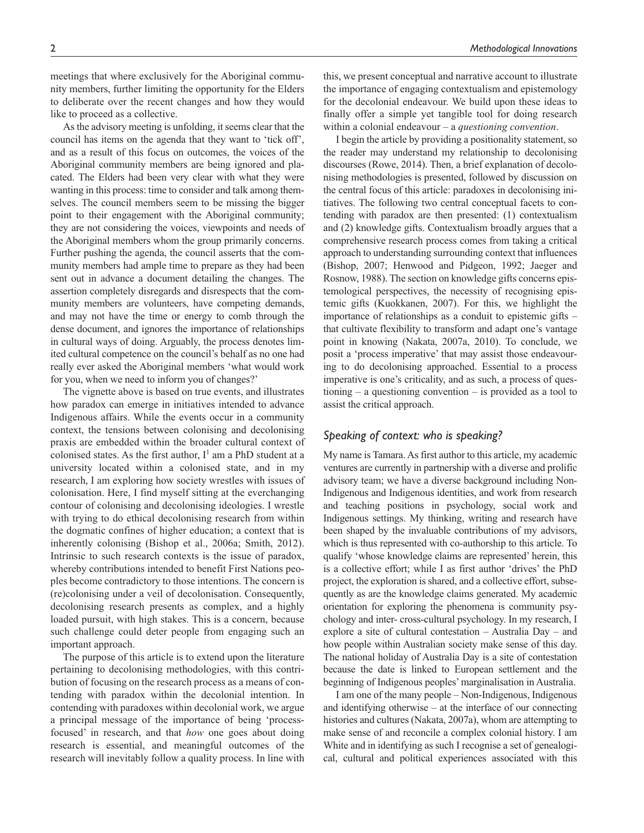meetings that where exclusively for the Aboriginal community members, further limiting the opportunity for the Elders to deliberate over the recent changes and how they would like to proceed as a collective.

As the advisory meeting is unfolding, it seems clear that the council has items on the agenda that they want to 'tick off', and as a result of this focus on outcomes, the voices of the Aboriginal community members are being ignored and placated. The Elders had been very clear with what they were wanting in this process: time to consider and talk among themselves. The council members seem to be missing the bigger point to their engagement with the Aboriginal community; they are not considering the voices, viewpoints and needs of the Aboriginal members whom the group primarily concerns. Further pushing the agenda, the council asserts that the community members had ample time to prepare as they had been sent out in advance a document detailing the changes. The assertion completely disregards and disrespects that the community members are volunteers, have competing demands, and may not have the time or energy to comb through the dense document, and ignores the importance of relationships in cultural ways of doing. Arguably, the process denotes limited cultural competence on the council's behalf as no one had really ever asked the Aboriginal members 'what would work for you, when we need to inform you of changes?'

The vignette above is based on true events, and illustrates how paradox can emerge in initiatives intended to advance Indigenous affairs. While the events occur in a community context, the tensions between colonising and decolonising praxis are embedded within the broader cultural context of colonised states. As the first author,  $I^1$  am a PhD student at a university located within a colonised state, and in my research, I am exploring how society wrestles with issues of colonisation. Here, I find myself sitting at the everchanging contour of colonising and decolonising ideologies. I wrestle with trying to do ethical decolonising research from within the dogmatic confines of higher education; a context that is inherently colonising (Bishop et al., 2006a; Smith, 2012). Intrinsic to such research contexts is the issue of paradox, whereby contributions intended to benefit First Nations peoples become contradictory to those intentions. The concern is (re)colonising under a veil of decolonisation. Consequently, decolonising research presents as complex, and a highly loaded pursuit, with high stakes. This is a concern, because such challenge could deter people from engaging such an important approach.

The purpose of this article is to extend upon the literature pertaining to decolonising methodologies, with this contribution of focusing on the research process as a means of contending with paradox within the decolonial intention. In contending with paradoxes within decolonial work, we argue a principal message of the importance of being 'processfocused' in research, and that *how* one goes about doing research is essential, and meaningful outcomes of the research will inevitably follow a quality process. In line with

this, we present conceptual and narrative account to illustrate the importance of engaging contextualism and epistemology for the decolonial endeavour. We build upon these ideas to finally offer a simple yet tangible tool for doing research within a colonial endeavour – a *questioning convention*.

I begin the article by providing a positionality statement, so the reader may understand my relationship to decolonising discourses (Rowe, 2014). Then, a brief explanation of decolonising methodologies is presented, followed by discussion on the central focus of this article: paradoxes in decolonising initiatives. The following two central conceptual facets to contending with paradox are then presented: (1) contextualism and (2) knowledge gifts. Contextualism broadly argues that a comprehensive research process comes from taking a critical approach to understanding surrounding context that influences (Bishop, 2007; Henwood and Pidgeon, 1992; Jaeger and Rosnow, 1988). The section on knowledge gifts concerns epistemological perspectives, the necessity of recognising epistemic gifts (Kuokkanen, 2007). For this, we highlight the importance of relationships as a conduit to epistemic gifts – that cultivate flexibility to transform and adapt one's vantage point in knowing (Nakata, 2007a, 2010). To conclude, we posit a 'process imperative' that may assist those endeavouring to do decolonising approached. Essential to a process imperative is one's criticality, and as such, a process of questioning – a questioning convention – is provided as a tool to assist the critical approach.

# *Speaking of context: who is speaking?*

My name is Tamara. As first author to this article, my academic ventures are currently in partnership with a diverse and prolific advisory team; we have a diverse background including Non-Indigenous and Indigenous identities, and work from research and teaching positions in psychology, social work and Indigenous settings. My thinking, writing and research have been shaped by the invaluable contributions of my advisors, which is thus represented with co-authorship to this article. To qualify 'whose knowledge claims are represented' herein, this is a collective effort; while I as first author 'drives' the PhD project, the exploration is shared, and a collective effort, subsequently as are the knowledge claims generated. My academic orientation for exploring the phenomena is community psychology and inter- cross-cultural psychology. In my research, I explore a site of cultural contestation – Australia Day – and how people within Australian society make sense of this day. The national holiday of Australia Day is a site of contestation because the date is linked to European settlement and the beginning of Indigenous peoples' marginalisation in Australia.

I am one of the many people – Non-Indigenous, Indigenous and identifying otherwise – at the interface of our connecting histories and cultures (Nakata, 2007a), whom are attempting to make sense of and reconcile a complex colonial history. I am White and in identifying as such I recognise a set of genealogical, cultural and political experiences associated with this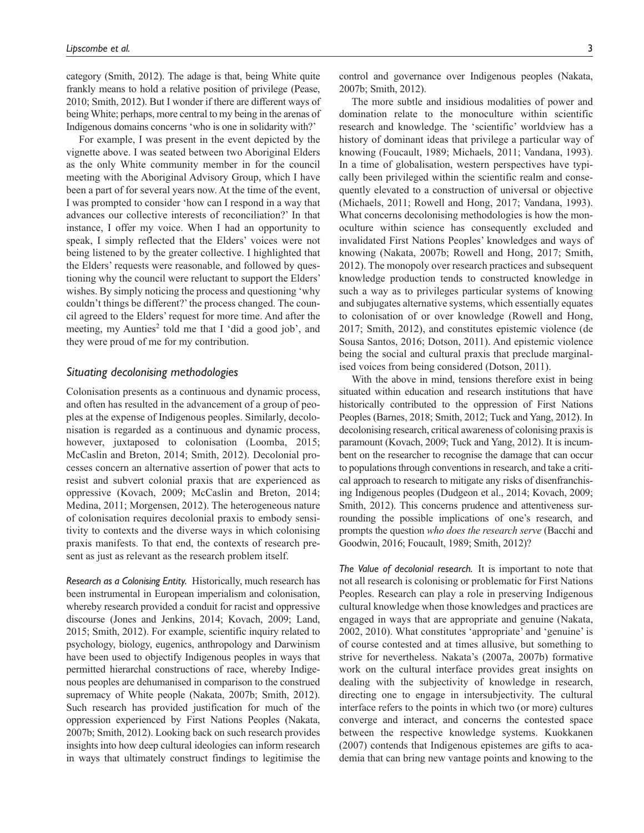category (Smith, 2012). The adage is that, being White quite frankly means to hold a relative position of privilege (Pease, 2010; Smith, 2012). But I wonder if there are different ways of being White; perhaps, more central to my being in the arenas of Indigenous domains concerns 'who is one in solidarity with?'

For example, I was present in the event depicted by the vignette above. I was seated between two Aboriginal Elders as the only White community member in for the council meeting with the Aboriginal Advisory Group, which I have been a part of for several years now. At the time of the event, I was prompted to consider 'how can I respond in a way that advances our collective interests of reconciliation?' In that instance, I offer my voice. When I had an opportunity to speak, I simply reflected that the Elders' voices were not being listened to by the greater collective. I highlighted that the Elders' requests were reasonable, and followed by questioning why the council were reluctant to support the Elders' wishes. By simply noticing the process and questioning 'why couldn't things be different?' the process changed. The council agreed to the Elders' request for more time. And after the meeting, my Aunties<sup>2</sup> told me that I 'did a good job', and they were proud of me for my contribution.

# *Situating decolonising methodologies*

Colonisation presents as a continuous and dynamic process, and often has resulted in the advancement of a group of peoples at the expense of Indigenous peoples. Similarly, decolonisation is regarded as a continuous and dynamic process, however, juxtaposed to colonisation (Loomba, 2015; McCaslin and Breton, 2014; Smith, 2012). Decolonial processes concern an alternative assertion of power that acts to resist and subvert colonial praxis that are experienced as oppressive (Kovach, 2009; McCaslin and Breton, 2014; Medina, 2011; Morgensen, 2012). The heterogeneous nature of colonisation requires decolonial praxis to embody sensitivity to contexts and the diverse ways in which colonising praxis manifests. To that end, the contexts of research present as just as relevant as the research problem itself.

*Research as a Colonising Entity.* Historically, much research has been instrumental in European imperialism and colonisation, whereby research provided a conduit for racist and oppressive discourse (Jones and Jenkins, 2014; Kovach, 2009; Land, 2015; Smith, 2012). For example, scientific inquiry related to psychology, biology, eugenics, anthropology and Darwinism have been used to objectify Indigenous peoples in ways that permitted hierarchal constructions of race, whereby Indigenous peoples are dehumanised in comparison to the construed supremacy of White people (Nakata, 2007b; Smith, 2012). Such research has provided justification for much of the oppression experienced by First Nations Peoples (Nakata, 2007b; Smith, 2012). Looking back on such research provides insights into how deep cultural ideologies can inform research in ways that ultimately construct findings to legitimise the

control and governance over Indigenous peoples (Nakata, 2007b; Smith, 2012).

The more subtle and insidious modalities of power and domination relate to the monoculture within scientific research and knowledge. The 'scientific' worldview has a history of dominant ideas that privilege a particular way of knowing (Foucault, 1989; Michaels, 2011; Vandana, 1993). In a time of globalisation, western perspectives have typically been privileged within the scientific realm and consequently elevated to a construction of universal or objective (Michaels, 2011; Rowell and Hong, 2017; Vandana, 1993). What concerns decolonising methodologies is how the monoculture within science has consequently excluded and invalidated First Nations Peoples' knowledges and ways of knowing (Nakata, 2007b; Rowell and Hong, 2017; Smith, 2012). The monopoly over research practices and subsequent knowledge production tends to constructed knowledge in such a way as to privileges particular systems of knowing and subjugates alternative systems, which essentially equates to colonisation of or over knowledge (Rowell and Hong, 2017; Smith, 2012), and constitutes epistemic violence (de Sousa Santos, 2016; Dotson, 2011). And epistemic violence being the social and cultural praxis that preclude marginalised voices from being considered (Dotson, 2011).

With the above in mind, tensions therefore exist in being situated within education and research institutions that have historically contributed to the oppression of First Nations Peoples (Barnes, 2018; Smith, 2012; Tuck and Yang, 2012). In decolonising research, critical awareness of colonising praxis is paramount (Kovach, 2009; Tuck and Yang, 2012). It is incumbent on the researcher to recognise the damage that can occur to populations through conventions in research, and take a critical approach to research to mitigate any risks of disenfranchising Indigenous peoples (Dudgeon et al., 2014; Kovach, 2009; Smith, 2012). This concerns prudence and attentiveness surrounding the possible implications of one's research, and prompts the question *who does the research serve* (Bacchi and Goodwin, 2016; Foucault, 1989; Smith, 2012)?

*The Value of decolonial research.* It is important to note that not all research is colonising or problematic for First Nations Peoples. Research can play a role in preserving Indigenous cultural knowledge when those knowledges and practices are engaged in ways that are appropriate and genuine (Nakata, 2002, 2010). What constitutes 'appropriate' and 'genuine' is of course contested and at times allusive, but something to strive for nevertheless. Nakata's (2007a, 2007b) formative work on the cultural interface provides great insights on dealing with the subjectivity of knowledge in research, directing one to engage in intersubjectivity. The cultural interface refers to the points in which two (or more) cultures converge and interact, and concerns the contested space between the respective knowledge systems. Kuokkanen (2007) contends that Indigenous epistemes are gifts to academia that can bring new vantage points and knowing to the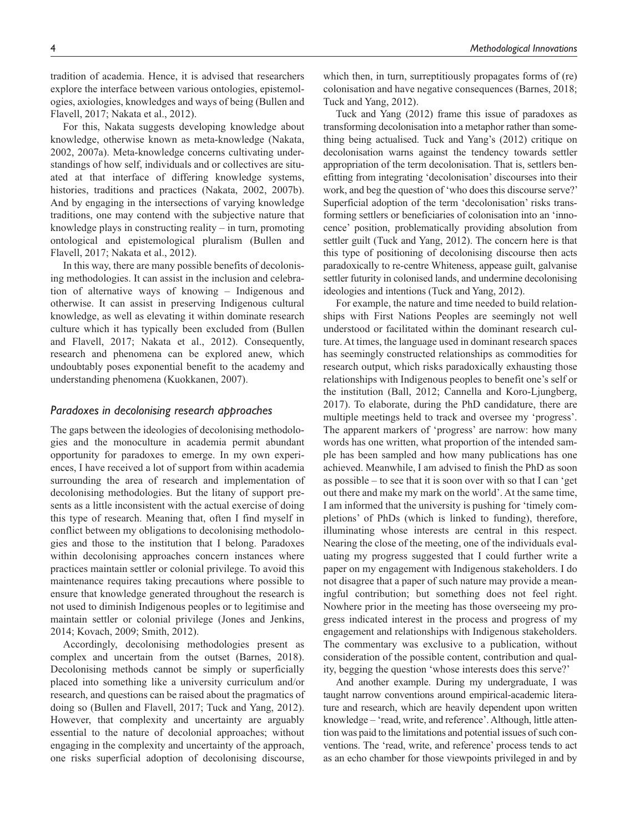tradition of academia. Hence, it is advised that researchers explore the interface between various ontologies, epistemologies, axiologies, knowledges and ways of being (Bullen and Flavell, 2017; Nakata et al., 2012).

For this, Nakata suggests developing knowledge about knowledge, otherwise known as meta-knowledge (Nakata, 2002, 2007a). Meta-knowledge concerns cultivating understandings of how self, individuals and or collectives are situated at that interface of differing knowledge systems, histories, traditions and practices (Nakata, 2002, 2007b). And by engaging in the intersections of varying knowledge traditions, one may contend with the subjective nature that knowledge plays in constructing reality – in turn, promoting ontological and epistemological pluralism (Bullen and Flavell, 2017; Nakata et al., 2012).

In this way, there are many possible benefits of decolonising methodologies. It can assist in the inclusion and celebration of alternative ways of knowing – Indigenous and otherwise. It can assist in preserving Indigenous cultural knowledge, as well as elevating it within dominate research culture which it has typically been excluded from (Bullen and Flavell, 2017; Nakata et al., 2012). Consequently, research and phenomena can be explored anew, which undoubtably poses exponential benefit to the academy and understanding phenomena (Kuokkanen, 2007).

# *Paradoxes in decolonising research approaches*

The gaps between the ideologies of decolonising methodologies and the monoculture in academia permit abundant opportunity for paradoxes to emerge. In my own experiences, I have received a lot of support from within academia surrounding the area of research and implementation of decolonising methodologies. But the litany of support presents as a little inconsistent with the actual exercise of doing this type of research. Meaning that, often I find myself in conflict between my obligations to decolonising methodologies and those to the institution that I belong. Paradoxes within decolonising approaches concern instances where practices maintain settler or colonial privilege. To avoid this maintenance requires taking precautions where possible to ensure that knowledge generated throughout the research is not used to diminish Indigenous peoples or to legitimise and maintain settler or colonial privilege (Jones and Jenkins, 2014; Kovach, 2009; Smith, 2012).

Accordingly, decolonising methodologies present as complex and uncertain from the outset (Barnes, 2018). Decolonising methods cannot be simply or superficially placed into something like a university curriculum and/or research, and questions can be raised about the pragmatics of doing so (Bullen and Flavell, 2017; Tuck and Yang, 2012). However, that complexity and uncertainty are arguably essential to the nature of decolonial approaches; without engaging in the complexity and uncertainty of the approach, one risks superficial adoption of decolonising discourse,

which then, in turn, surreptitiously propagates forms of (re) colonisation and have negative consequences (Barnes, 2018; Tuck and Yang, 2012).

Tuck and Yang (2012) frame this issue of paradoxes as transforming decolonisation into a metaphor rather than something being actualised. Tuck and Yang's (2012) critique on decolonisation warns against the tendency towards settler appropriation of the term decolonisation. That is, settlers benefitting from integrating 'decolonisation' discourses into their work, and beg the question of 'who does this discourse serve?' Superficial adoption of the term 'decolonisation' risks transforming settlers or beneficiaries of colonisation into an 'innocence' position, problematically providing absolution from settler guilt (Tuck and Yang, 2012). The concern here is that this type of positioning of decolonising discourse then acts paradoxically to re-centre Whiteness, appease guilt, galvanise settler futurity in colonised lands, and undermine decolonising ideologies and intentions (Tuck and Yang, 2012).

For example, the nature and time needed to build relationships with First Nations Peoples are seemingly not well understood or facilitated within the dominant research culture. At times, the language used in dominant research spaces has seemingly constructed relationships as commodities for research output, which risks paradoxically exhausting those relationships with Indigenous peoples to benefit one's self or the institution (Ball, 2012; Cannella and Koro-Ljungberg, 2017). To elaborate, during the PhD candidature, there are multiple meetings held to track and oversee my 'progress'. The apparent markers of 'progress' are narrow: how many words has one written, what proportion of the intended sample has been sampled and how many publications has one achieved. Meanwhile, I am advised to finish the PhD as soon as possible – to see that it is soon over with so that I can 'get out there and make my mark on the world'. At the same time, I am informed that the university is pushing for 'timely completions' of PhDs (which is linked to funding), therefore, illuminating whose interests are central in this respect. Nearing the close of the meeting, one of the individuals evaluating my progress suggested that I could further write a paper on my engagement with Indigenous stakeholders. I do not disagree that a paper of such nature may provide a meaningful contribution; but something does not feel right. Nowhere prior in the meeting has those overseeing my progress indicated interest in the process and progress of my engagement and relationships with Indigenous stakeholders. The commentary was exclusive to a publication, without consideration of the possible content, contribution and quality, begging the question 'whose interests does this serve?'

And another example. During my undergraduate, I was taught narrow conventions around empirical-academic literature and research, which are heavily dependent upon written knowledge – 'read, write, and reference'. Although, little attention was paid to the limitations and potential issues of such conventions. The 'read, write, and reference' process tends to act as an echo chamber for those viewpoints privileged in and by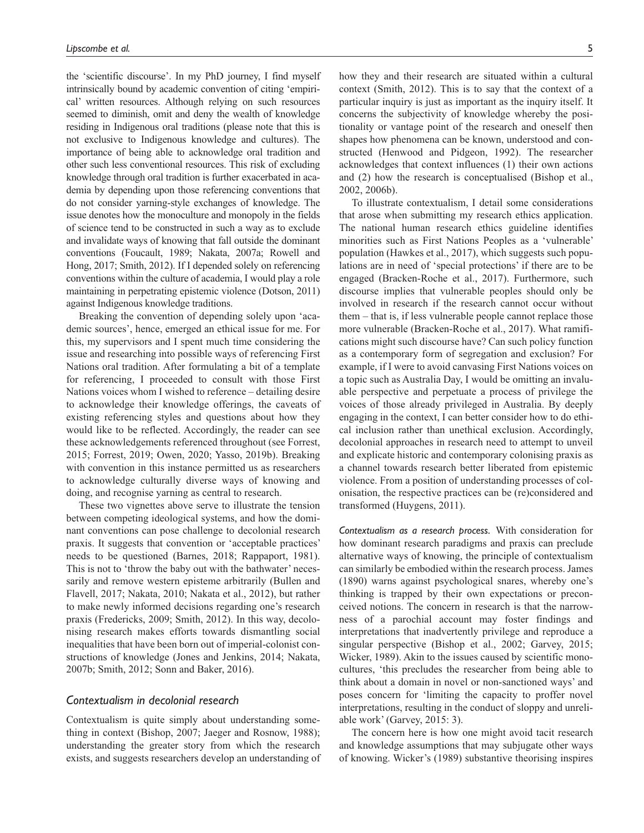the 'scientific discourse'. In my PhD journey, I find myself intrinsically bound by academic convention of citing 'empirical' written resources. Although relying on such resources seemed to diminish, omit and deny the wealth of knowledge residing in Indigenous oral traditions (please note that this is not exclusive to Indigenous knowledge and cultures). The importance of being able to acknowledge oral tradition and other such less conventional resources. This risk of excluding knowledge through oral tradition is further exacerbated in academia by depending upon those referencing conventions that do not consider yarning-style exchanges of knowledge. The issue denotes how the monoculture and monopoly in the fields of science tend to be constructed in such a way as to exclude and invalidate ways of knowing that fall outside the dominant conventions (Foucault, 1989; Nakata, 2007a; Rowell and Hong, 2017; Smith, 2012). If I depended solely on referencing conventions within the culture of academia, I would play a role maintaining in perpetrating epistemic violence (Dotson, 2011) against Indigenous knowledge traditions.

Breaking the convention of depending solely upon 'academic sources', hence, emerged an ethical issue for me. For this, my supervisors and I spent much time considering the issue and researching into possible ways of referencing First Nations oral tradition. After formulating a bit of a template for referencing, I proceeded to consult with those First Nations voices whom I wished to reference – detailing desire to acknowledge their knowledge offerings, the caveats of existing referencing styles and questions about how they would like to be reflected. Accordingly, the reader can see these acknowledgements referenced throughout (see Forrest, 2015; Forrest, 2019; Owen, 2020; Yasso, 2019b). Breaking with convention in this instance permitted us as researchers to acknowledge culturally diverse ways of knowing and doing, and recognise yarning as central to research.

These two vignettes above serve to illustrate the tension between competing ideological systems, and how the dominant conventions can pose challenge to decolonial research praxis. It suggests that convention or 'acceptable practices' needs to be questioned (Barnes, 2018; Rappaport, 1981). This is not to 'throw the baby out with the bathwater' necessarily and remove western episteme arbitrarily (Bullen and Flavell, 2017; Nakata, 2010; Nakata et al., 2012), but rather to make newly informed decisions regarding one's research praxis (Fredericks, 2009; Smith, 2012). In this way, decolonising research makes efforts towards dismantling social inequalities that have been born out of imperial-colonist constructions of knowledge (Jones and Jenkins, 2014; Nakata, 2007b; Smith, 2012; Sonn and Baker, 2016).

# *Contextualism in decolonial research*

Contextualism is quite simply about understanding something in context (Bishop, 2007; Jaeger and Rosnow, 1988); understanding the greater story from which the research exists, and suggests researchers develop an understanding of how they and their research are situated within a cultural context (Smith, 2012). This is to say that the context of a particular inquiry is just as important as the inquiry itself. It concerns the subjectivity of knowledge whereby the positionality or vantage point of the research and oneself then shapes how phenomena can be known, understood and constructed (Henwood and Pidgeon, 1992). The researcher acknowledges that context influences (1) their own actions and (2) how the research is conceptualised (Bishop et al., 2002, 2006b).

To illustrate contextualism, I detail some considerations that arose when submitting my research ethics application. The national human research ethics guideline identifies minorities such as First Nations Peoples as a 'vulnerable' population (Hawkes et al., 2017), which suggests such populations are in need of 'special protections' if there are to be engaged (Bracken-Roche et al., 2017). Furthermore, such discourse implies that vulnerable peoples should only be involved in research if the research cannot occur without them – that is, if less vulnerable people cannot replace those more vulnerable (Bracken-Roche et al., 2017). What ramifications might such discourse have? Can such policy function as a contemporary form of segregation and exclusion? For example, if I were to avoid canvasing First Nations voices on a topic such as Australia Day, I would be omitting an invaluable perspective and perpetuate a process of privilege the voices of those already privileged in Australia. By deeply engaging in the context, I can better consider how to do ethical inclusion rather than unethical exclusion. Accordingly, decolonial approaches in research need to attempt to unveil and explicate historic and contemporary colonising praxis as a channel towards research better liberated from epistemic violence. From a position of understanding processes of colonisation, the respective practices can be (re)considered and transformed (Huygens, 2011).

*Contextualism as a research process.* With consideration for how dominant research paradigms and praxis can preclude alternative ways of knowing, the principle of contextualism can similarly be embodied within the research process. James (1890) warns against psychological snares, whereby one's thinking is trapped by their own expectations or preconceived notions. The concern in research is that the narrowness of a parochial account may foster findings and interpretations that inadvertently privilege and reproduce a singular perspective (Bishop et al., 2002; Garvey, 2015; Wicker, 1989). Akin to the issues caused by scientific monocultures, 'this precludes the researcher from being able to think about a domain in novel or non-sanctioned ways' and poses concern for 'limiting the capacity to proffer novel interpretations, resulting in the conduct of sloppy and unreliable work' (Garvey, 2015: 3).

The concern here is how one might avoid tacit research and knowledge assumptions that may subjugate other ways of knowing. Wicker's (1989) substantive theorising inspires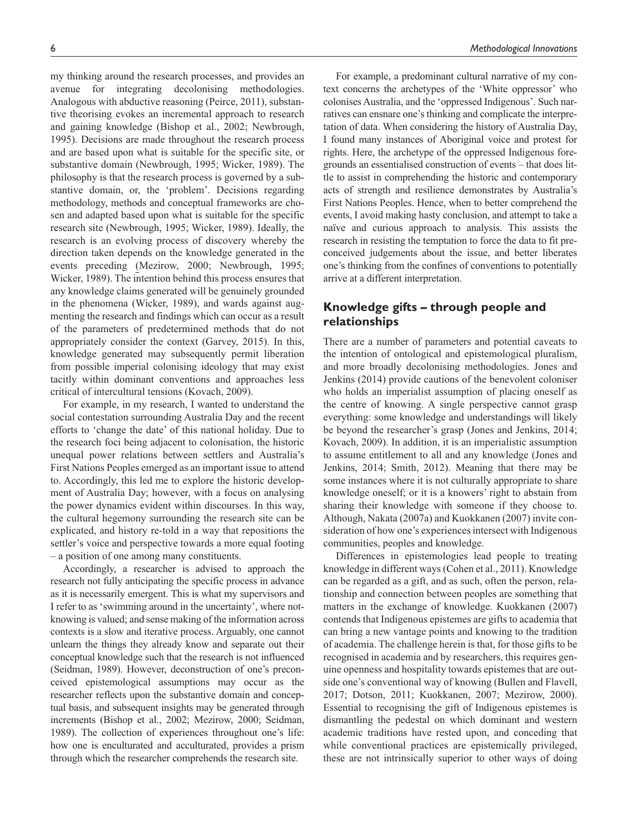my thinking around the research processes, and provides an avenue for integrating decolonising methodologies. Analogous with abductive reasoning (Peirce, 2011), substantive theorising evokes an incremental approach to research and gaining knowledge (Bishop et al., 2002; Newbrough, 1995). Decisions are made throughout the research process and are based upon what is suitable for the specific site, or substantive domain (Newbrough, 1995; Wicker, 1989). The philosophy is that the research process is governed by a substantive domain, or, the 'problem'. Decisions regarding methodology, methods and conceptual frameworks are chosen and adapted based upon what is suitable for the specific research site (Newbrough, 1995; Wicker, 1989). Ideally, the research is an evolving process of discovery whereby the direction taken depends on the knowledge generated in the events preceding (Mezirow, 2000; Newbrough, 1995; Wicker, 1989). The intention behind this process ensures that any knowledge claims generated will be genuinely grounded in the phenomena (Wicker, 1989), and wards against augmenting the research and findings which can occur as a result of the parameters of predetermined methods that do not appropriately consider the context (Garvey, 2015). In this, knowledge generated may subsequently permit liberation from possible imperial colonising ideology that may exist tacitly within dominant conventions and approaches less critical of intercultural tensions (Kovach, 2009).

For example, in my research, I wanted to understand the social contestation surrounding Australia Day and the recent efforts to 'change the date' of this national holiday. Due to the research foci being adjacent to colonisation, the historic unequal power relations between settlers and Australia's First Nations Peoples emerged as an important issue to attend to. Accordingly, this led me to explore the historic development of Australia Day; however, with a focus on analysing the power dynamics evident within discourses. In this way, the cultural hegemony surrounding the research site can be explicated, and history re-told in a way that repositions the settler's voice and perspective towards a more equal footing – a position of one among many constituents.

Accordingly, a researcher is advised to approach the research not fully anticipating the specific process in advance as it is necessarily emergent. This is what my supervisors and I refer to as 'swimming around in the uncertainty', where notknowing is valued; and sense making of the information across contexts is a slow and iterative process. Arguably, one cannot unlearn the things they already know and separate out their conceptual knowledge such that the research is not influenced (Seidman, 1989). However, deconstruction of one's preconceived epistemological assumptions may occur as the researcher reflects upon the substantive domain and conceptual basis, and subsequent insights may be generated through increments (Bishop et al., 2002; Mezirow, 2000; Seidman, 1989). The collection of experiences throughout one's life: how one is enculturated and acculturated, provides a prism through which the researcher comprehends the research site.

For example, a predominant cultural narrative of my context concerns the archetypes of the 'White oppressor' who colonises Australia, and the 'oppressed Indigenous'. Such narratives can ensnare one's thinking and complicate the interpretation of data. When considering the history of Australia Day, I found many instances of Aboriginal voice and protest for rights. Here, the archetype of the oppressed Indigenous foregrounds an essentialised construction of events – that does little to assist in comprehending the historic and contemporary acts of strength and resilience demonstrates by Australia's First Nations Peoples. Hence, when to better comprehend the events, I avoid making hasty conclusion, and attempt to take a naïve and curious approach to analysis. This assists the research in resisting the temptation to force the data to fit preconceived judgements about the issue, and better liberates one's thinking from the confines of conventions to potentially arrive at a different interpretation.

# **Knowledge gifts – through people and relationships**

There are a number of parameters and potential caveats to the intention of ontological and epistemological pluralism, and more broadly decolonising methodologies. Jones and Jenkins (2014) provide cautions of the benevolent coloniser who holds an imperialist assumption of placing oneself as the centre of knowing. A single perspective cannot grasp everything: some knowledge and understandings will likely be beyond the researcher's grasp (Jones and Jenkins, 2014; Kovach, 2009). In addition, it is an imperialistic assumption to assume entitlement to all and any knowledge (Jones and Jenkins, 2014; Smith, 2012). Meaning that there may be some instances where it is not culturally appropriate to share knowledge oneself; or it is a knowers' right to abstain from sharing their knowledge with someone if they choose to. Although, Nakata (2007a) and Kuokkanen (2007) invite consideration of how one's experiences intersect with Indigenous communities, peoples and knowledge.

Differences in epistemologies lead people to treating knowledge in different ways (Cohen et al., 2011). Knowledge can be regarded as a gift, and as such, often the person, relationship and connection between peoples are something that matters in the exchange of knowledge. Kuokkanen (2007) contends that Indigenous epistemes are gifts to academia that can bring a new vantage points and knowing to the tradition of academia. The challenge herein is that, for those gifts to be recognised in academia and by researchers, this requires genuine openness and hospitality towards epistemes that are outside one's conventional way of knowing (Bullen and Flavell, 2017; Dotson, 2011; Kuokkanen, 2007; Mezirow, 2000). Essential to recognising the gift of Indigenous epistemes is dismantling the pedestal on which dominant and western academic traditions have rested upon, and conceding that while conventional practices are epistemically privileged, these are not intrinsically superior to other ways of doing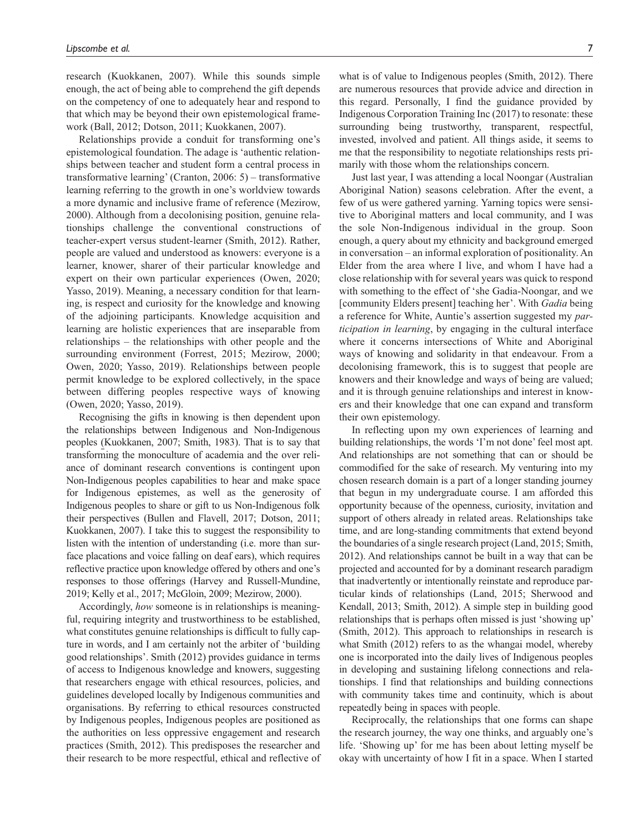research (Kuokkanen, 2007). While this sounds simple enough, the act of being able to comprehend the gift depends on the competency of one to adequately hear and respond to that which may be beyond their own epistemological framework (Ball, 2012; Dotson, 2011; Kuokkanen, 2007).

Relationships provide a conduit for transforming one's epistemological foundation. The adage is 'authentic relationships between teacher and student form a central process in transformative learning' (Cranton, 2006: 5) – transformative learning referring to the growth in one's worldview towards a more dynamic and inclusive frame of reference (Mezirow, 2000). Although from a decolonising position, genuine relationships challenge the conventional constructions of teacher-expert versus student-learner (Smith, 2012). Rather, people are valued and understood as knowers: everyone is a learner, knower, sharer of their particular knowledge and expert on their own particular experiences (Owen, 2020; Yasso, 2019). Meaning, a necessary condition for that learning, is respect and curiosity for the knowledge and knowing of the adjoining participants. Knowledge acquisition and learning are holistic experiences that are inseparable from relationships – the relationships with other people and the surrounding environment (Forrest, 2015; Mezirow, 2000; Owen, 2020; Yasso, 2019). Relationships between people permit knowledge to be explored collectively, in the space between differing peoples respective ways of knowing (Owen, 2020; Yasso, 2019).

Recognising the gifts in knowing is then dependent upon the relationships between Indigenous and Non-Indigenous peoples (Kuokkanen, 2007; Smith, 1983). That is to say that transforming the monoculture of academia and the over reliance of dominant research conventions is contingent upon Non-Indigenous peoples capabilities to hear and make space for Indigenous epistemes, as well as the generosity of Indigenous peoples to share or gift to us Non-Indigenous folk their perspectives (Bullen and Flavell, 2017; Dotson, 2011; Kuokkanen, 2007). I take this to suggest the responsibility to listen with the intention of understanding (i.e. more than surface placations and voice falling on deaf ears), which requires reflective practice upon knowledge offered by others and one's responses to those offerings (Harvey and Russell-Mundine, 2019; Kelly et al., 2017; McGloin, 2009; Mezirow, 2000).

Accordingly, *how* someone is in relationships is meaningful, requiring integrity and trustworthiness to be established, what constitutes genuine relationships is difficult to fully capture in words, and I am certainly not the arbiter of 'building good relationships'. Smith (2012) provides guidance in terms of access to Indigenous knowledge and knowers, suggesting that researchers engage with ethical resources, policies, and guidelines developed locally by Indigenous communities and organisations. By referring to ethical resources constructed by Indigenous peoples, Indigenous peoples are positioned as the authorities on less oppressive engagement and research practices (Smith, 2012). This predisposes the researcher and their research to be more respectful, ethical and reflective of what is of value to Indigenous peoples (Smith, 2012). There are numerous resources that provide advice and direction in this regard. Personally, I find the guidance provided by Indigenous Corporation Training Inc (2017) to resonate: these surrounding being trustworthy, transparent, respectful, invested, involved and patient. All things aside, it seems to me that the responsibility to negotiate relationships rests primarily with those whom the relationships concern.

Just last year, I was attending a local Noongar (Australian Aboriginal Nation) seasons celebration. After the event, a few of us were gathered yarning. Yarning topics were sensitive to Aboriginal matters and local community, and I was the sole Non-Indigenous individual in the group. Soon enough, a query about my ethnicity and background emerged in conversation – an informal exploration of positionality. An Elder from the area where I live, and whom I have had a close relationship with for several years was quick to respond with something to the effect of 'she Gadia-Noongar, and we [community Elders present] teaching her'. With *Gadia* being a reference for White, Auntie's assertion suggested my *participation in learning*, by engaging in the cultural interface where it concerns intersections of White and Aboriginal ways of knowing and solidarity in that endeavour. From a decolonising framework, this is to suggest that people are knowers and their knowledge and ways of being are valued; and it is through genuine relationships and interest in knowers and their knowledge that one can expand and transform their own epistemology.

In reflecting upon my own experiences of learning and building relationships, the words 'I'm not done' feel most apt. And relationships are not something that can or should be commodified for the sake of research. My venturing into my chosen research domain is a part of a longer standing journey that begun in my undergraduate course. I am afforded this opportunity because of the openness, curiosity, invitation and support of others already in related areas. Relationships take time, and are long-standing commitments that extend beyond the boundaries of a single research project (Land, 2015; Smith, 2012). And relationships cannot be built in a way that can be projected and accounted for by a dominant research paradigm that inadvertently or intentionally reinstate and reproduce particular kinds of relationships (Land, 2015; Sherwood and Kendall, 2013; Smith, 2012). A simple step in building good relationships that is perhaps often missed is just 'showing up' (Smith, 2012). This approach to relationships in research is what Smith (2012) refers to as the whangai model, whereby one is incorporated into the daily lives of Indigenous peoples in developing and sustaining lifelong connections and relationships. I find that relationships and building connections with community takes time and continuity, which is about repeatedly being in spaces with people.

Reciprocally, the relationships that one forms can shape the research journey, the way one thinks, and arguably one's life. 'Showing up' for me has been about letting myself be okay with uncertainty of how I fit in a space. When I started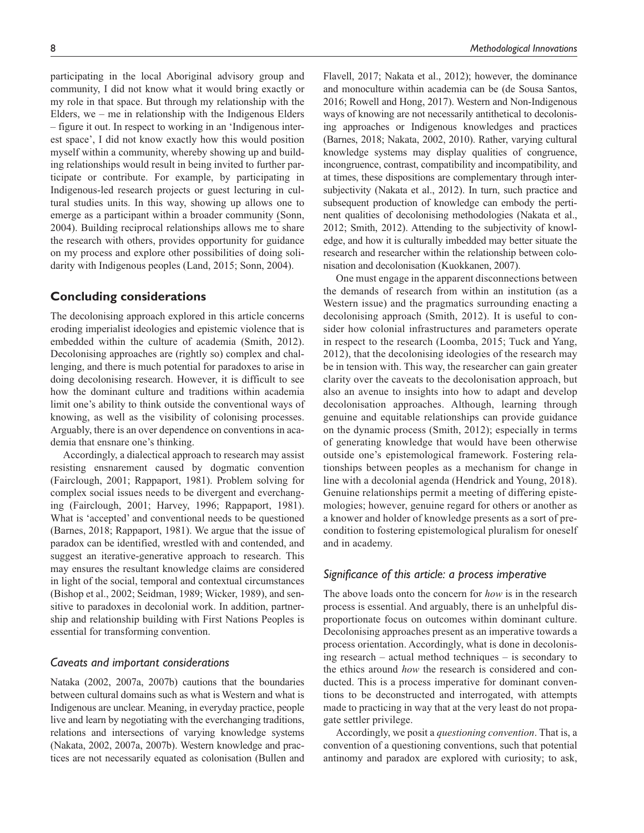participating in the local Aboriginal advisory group and community, I did not know what it would bring exactly or my role in that space. But through my relationship with the Elders, we – me in relationship with the Indigenous Elders – figure it out. In respect to working in an 'Indigenous interest space', I did not know exactly how this would position myself within a community, whereby showing up and building relationships would result in being invited to further participate or contribute. For example, by participating in Indigenous-led research projects or guest lecturing in cultural studies units. In this way, showing up allows one to emerge as a participant within a broader community (Sonn, 2004). Building reciprocal relationships allows me to share the research with others, provides opportunity for guidance on my process and explore other possibilities of doing solidarity with Indigenous peoples (Land, 2015; Sonn, 2004).

# **Concluding considerations**

The decolonising approach explored in this article concerns eroding imperialist ideologies and epistemic violence that is embedded within the culture of academia (Smith, 2012). Decolonising approaches are (rightly so) complex and challenging, and there is much potential for paradoxes to arise in doing decolonising research. However, it is difficult to see how the dominant culture and traditions within academia limit one's ability to think outside the conventional ways of knowing, as well as the visibility of colonising processes. Arguably, there is an over dependence on conventions in academia that ensnare one's thinking.

Accordingly, a dialectical approach to research may assist resisting ensnarement caused by dogmatic convention (Fairclough, 2001; Rappaport, 1981). Problem solving for complex social issues needs to be divergent and everchanging (Fairclough, 2001; Harvey, 1996; Rappaport, 1981). What is 'accepted' and conventional needs to be questioned (Barnes, 2018; Rappaport, 1981). We argue that the issue of paradox can be identified, wrestled with and contended, and suggest an iterative-generative approach to research. This may ensures the resultant knowledge claims are considered in light of the social, temporal and contextual circumstances (Bishop et al., 2002; Seidman, 1989; Wicker, 1989), and sensitive to paradoxes in decolonial work. In addition, partnership and relationship building with First Nations Peoples is essential for transforming convention.

# *Caveats and important considerations*

Nataka (2002, 2007a, 2007b) cautions that the boundaries between cultural domains such as what is Western and what is Indigenous are unclear. Meaning, in everyday practice, people live and learn by negotiating with the everchanging traditions, relations and intersections of varying knowledge systems (Nakata, 2002, 2007a, 2007b). Western knowledge and practices are not necessarily equated as colonisation (Bullen and

Flavell, 2017; Nakata et al., 2012); however, the dominance and monoculture within academia can be (de Sousa Santos, 2016; Rowell and Hong, 2017). Western and Non-Indigenous ways of knowing are not necessarily antithetical to decolonising approaches or Indigenous knowledges and practices (Barnes, 2018; Nakata, 2002, 2010). Rather, varying cultural knowledge systems may display qualities of congruence, incongruence, contrast, compatibility and incompatibility, and at times, these dispositions are complementary through intersubjectivity (Nakata et al., 2012). In turn, such practice and subsequent production of knowledge can embody the pertinent qualities of decolonising methodologies (Nakata et al., 2012; Smith, 2012). Attending to the subjectivity of knowledge, and how it is culturally imbedded may better situate the research and researcher within the relationship between colonisation and decolonisation (Kuokkanen, 2007).

One must engage in the apparent disconnections between the demands of research from within an institution (as a Western issue) and the pragmatics surrounding enacting a decolonising approach (Smith, 2012). It is useful to consider how colonial infrastructures and parameters operate in respect to the research (Loomba, 2015; Tuck and Yang, 2012), that the decolonising ideologies of the research may be in tension with. This way, the researcher can gain greater clarity over the caveats to the decolonisation approach, but also an avenue to insights into how to adapt and develop decolonisation approaches. Although, learning through genuine and equitable relationships can provide guidance on the dynamic process (Smith, 2012); especially in terms of generating knowledge that would have been otherwise outside one's epistemological framework. Fostering relationships between peoples as a mechanism for change in line with a decolonial agenda (Hendrick and Young, 2018). Genuine relationships permit a meeting of differing epistemologies; however, genuine regard for others or another as a knower and holder of knowledge presents as a sort of precondition to fostering epistemological pluralism for oneself and in academy.

# *Significance of this article: a process imperative*

The above loads onto the concern for *how* is in the research process is essential. And arguably, there is an unhelpful disproportionate focus on outcomes within dominant culture. Decolonising approaches present as an imperative towards a process orientation. Accordingly, what is done in decolonising research – actual method techniques – is secondary to the ethics around *how* the research is considered and conducted. This is a process imperative for dominant conventions to be deconstructed and interrogated, with attempts made to practicing in way that at the very least do not propagate settler privilege.

Accordingly, we posit a *questioning convention*. That is, a convention of a questioning conventions, such that potential antinomy and paradox are explored with curiosity; to ask,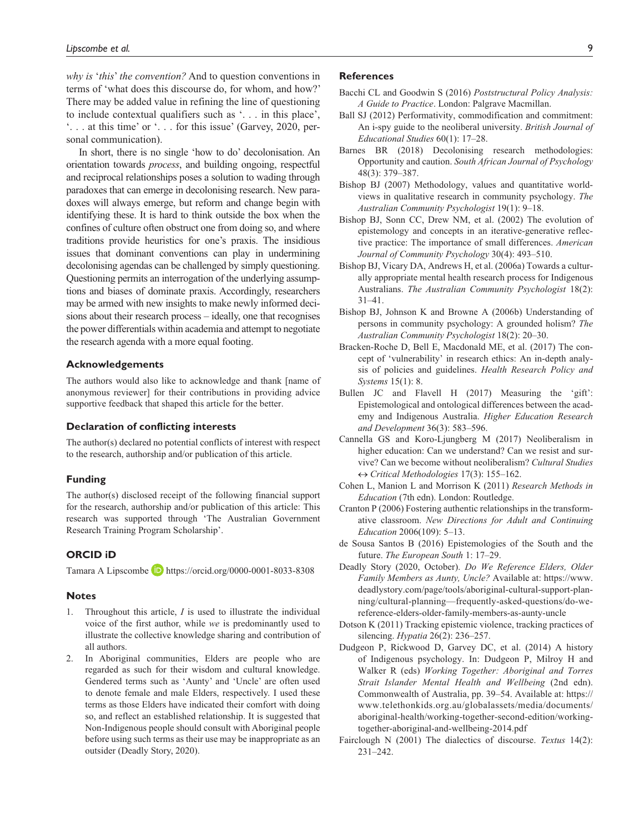*why is* '*this*' *the convention?* And to question conventions in terms of 'what does this discourse do, for whom, and how?' There may be added value in refining the line of questioning to include contextual qualifiers such as '. . . in this place', '. . . at this time' or '. . . for this issue' (Garvey, 2020, personal communication).

In short, there is no single 'how to do' decolonisation. An orientation towards *process*, and building ongoing, respectful and reciprocal relationships poses a solution to wading through paradoxes that can emerge in decolonising research. New paradoxes will always emerge, but reform and change begin with identifying these. It is hard to think outside the box when the confines of culture often obstruct one from doing so, and where traditions provide heuristics for one's praxis. The insidious issues that dominant conventions can play in undermining decolonising agendas can be challenged by simply questioning. Questioning permits an interrogation of the underlying assumptions and biases of dominate praxis. Accordingly, researchers may be armed with new insights to make newly informed decisions about their research process – ideally, one that recognises the power differentials within academia and attempt to negotiate the research agenda with a more equal footing.

# **Acknowledgements**

The authors would also like to acknowledge and thank [name of anonymous reviewer] for their contributions in providing advice supportive feedback that shaped this article for the better.

## **Declaration of conflicting interests**

The author(s) declared no potential conflicts of interest with respect to the research, authorship and/or publication of this article.

## **Funding**

The author(s) disclosed receipt of the following financial support for the research, authorship and/or publication of this article: This research was supported through 'The Australian Government Research Training Program Scholarship'.

# **ORCID iD**

Tamara A Lipscombe **b** <https://orcid.org/0000-0001-8033-8308>

### **Notes**

- 1. Throughout this article, *I* is used to illustrate the individual voice of the first author, while *we* is predominantly used to illustrate the collective knowledge sharing and contribution of all authors.
- 2. In Aboriginal communities, Elders are people who are regarded as such for their wisdom and cultural knowledge. Gendered terms such as 'Aunty' and 'Uncle' are often used to denote female and male Elders, respectively. I used these terms as those Elders have indicated their comfort with doing so, and reflect an established relationship. It is suggested that Non-Indigenous people should consult with Aboriginal people before using such terms as their use may be inappropriate as an outsider (Deadly Story, 2020).

# **References**

- Bacchi CL and Goodwin S (2016) *Poststructural Policy Analysis: A Guide to Practice*. London: Palgrave Macmillan.
- Ball SJ (2012) Performativity, commodification and commitment: An i-spy guide to the neoliberal university. *British Journal of Educational Studies* 60(1): 17–28.
- Barnes BR (2018) Decolonising research methodologies: Opportunity and caution. *South African Journal of Psychology* 48(3): 379–387.
- Bishop BJ (2007) Methodology, values and quantitative worldviews in qualitative research in community psychology. *The Australian Community Psychologist* 19(1): 9–18.
- Bishop BJ, Sonn CC, Drew NM, et al. (2002) The evolution of epistemology and concepts in an iterative-generative reflective practice: The importance of small differences. *American Journal of Community Psychology* 30(4): 493–510.
- Bishop BJ, Vicary DA, Andrews H, et al. (2006a) Towards a culturally appropriate mental health research process for Indigenous Australians. *The Australian Community Psychologist* 18(2): 31–41.
- Bishop BJ, Johnson K and Browne A (2006b) Understanding of persons in community psychology: A grounded holism? *The Australian Community Psychologist* 18(2): 20–30.
- Bracken-Roche D, Bell E, Macdonald ME, et al. (2017) The concept of 'vulnerability' in research ethics: An in-depth analysis of policies and guidelines. *Health Research Policy and Systems* 15(1): 8.
- Bullen JC and Flavell H (2017) Measuring the 'gift': Epistemological and ontological differences between the academy and Indigenous Australia. *Higher Education Research and Development* 36(3): 583–596.
- Cannella GS and Koro-Ljungberg M (2017) Neoliberalism in higher education: Can we understand? Can we resist and survive? Can we become without neoliberalism? *Cultural Studies*  ↔ *Critical Methodologies* 17(3): 155–162.
- Cohen L, Manion L and Morrison K (2011) *Research Methods in Education* (7th edn). London: Routledge.
- Cranton P (2006) Fostering authentic relationships in the transformative classroom. *New Directions for Adult and Continuing Education* 2006(109): 5–13.
- de Sousa Santos B (2016) Epistemologies of the South and the future. *The European South* 1: 17–29.
- Deadly Story (2020, October). *Do We Reference Elders, Older Family Members as Aunty, Uncle?* Available at: [https://www.](https://www.deadlystory.com/page/tools/aboriginal-cultural-support-planning/cultural-planning�frequently-asked-questions/do-we-reference-elders-older-family-members-as-aunty-uncle) [deadlystory.com/page/tools/aboriginal-cultural-support-plan](https://www.deadlystory.com/page/tools/aboriginal-cultural-support-planning/cultural-planning�frequently-asked-questions/do-we-reference-elders-older-family-members-as-aunty-uncle)[ning/cultural-planning—frequently-asked-questions/do-we](https://www.deadlystory.com/page/tools/aboriginal-cultural-support-planning/cultural-planning�frequently-asked-questions/do-we-reference-elders-older-family-members-as-aunty-uncle)[reference-elders-older-family-members-as-aunty-uncle](https://www.deadlystory.com/page/tools/aboriginal-cultural-support-planning/cultural-planning�frequently-asked-questions/do-we-reference-elders-older-family-members-as-aunty-uncle)
- Dotson K (2011) Tracking epistemic violence, tracking practices of silencing. *Hypatia* 26(2): 236–257.
- Dudgeon P, Rickwood D, Garvey DC, et al. (2014) A history of Indigenous psychology. In: Dudgeon P, Milroy H and Walker R (eds) *Working Together: Aboriginal and Torres Strait Islander Mental Health and Wellbeing* (2nd edn). Commonwealth of Australia, pp. 39–54. Available at: [https://](https://www.telethonkids.org.au/globalassets/media/documents/aboriginal-health/working-together-second-edition/working-together-aboriginal-and-wellbeing-2014.pdf) [www.telethonkids.org.au/globalassets/media/documents/](https://www.telethonkids.org.au/globalassets/media/documents/aboriginal-health/working-together-second-edition/working-together-aboriginal-and-wellbeing-2014.pdf) [aboriginal-health/working-together-second-edition/working](https://www.telethonkids.org.au/globalassets/media/documents/aboriginal-health/working-together-second-edition/working-together-aboriginal-and-wellbeing-2014.pdf)[together-aboriginal-and-wellbeing-2014.pdf](https://www.telethonkids.org.au/globalassets/media/documents/aboriginal-health/working-together-second-edition/working-together-aboriginal-and-wellbeing-2014.pdf)
- Fairclough N (2001) The dialectics of discourse. *Textus* 14(2): 231–242.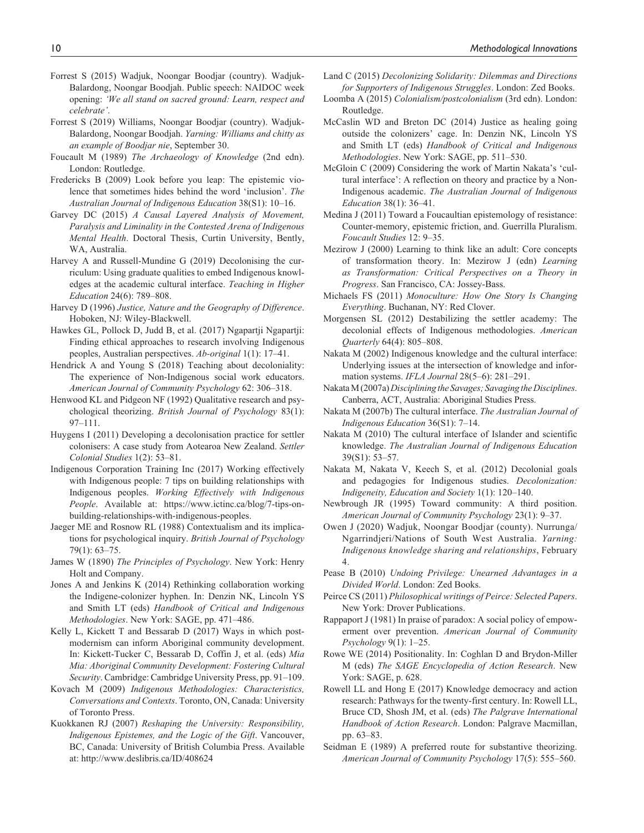- Forrest S (2015) Wadjuk, Noongar Boodjar (country). Wadjuk-Balardong, Noongar Boodjah. Public speech: NAIDOC week opening: *'We all stand on sacred ground: Learn, respect and celebrate'*.
- Forrest S (2019) Williams, Noongar Boodjar (country). Wadjuk-Balardong, Noongar Boodjah. *Yarning: Williams and chitty as an example of Boodjar nie*, September 30.
- Foucault M (1989) *The Archaeology of Knowledge* (2nd edn). London: Routledge.
- Fredericks B (2009) Look before you leap: The epistemic violence that sometimes hides behind the word 'inclusion'. *The Australian Journal of Indigenous Education* 38(S1): 10–16.
- Garvey DC (2015) *A Causal Layered Analysis of Movement, Paralysis and Liminality in the Contested Arena of Indigenous Mental Health*. Doctoral Thesis, Curtin University, Bently, WA, Australia.
- Harvey A and Russell-Mundine G (2019) Decolonising the curriculum: Using graduate qualities to embed Indigenous knowledges at the academic cultural interface. *Teaching in Higher Education* 24(6): 789–808.
- Harvey D (1996) *Justice, Nature and the Geography of Difference*. Hoboken, NJ: Wiley-Blackwell.
- Hawkes GL, Pollock D, Judd B, et al. (2017) Ngapartji Ngapartji: Finding ethical approaches to research involving Indigenous peoples, Australian perspectives. *Ab-original* 1(1): 17–41.
- Hendrick A and Young S (2018) Teaching about decoloniality: The experience of Non-Indigenous social work educators. *American Journal of Community Psychology* 62: 306–318.
- Henwood KL and Pidgeon NF (1992) Qualitative research and psychological theorizing. *British Journal of Psychology* 83(1): 97–111.
- Huygens I (2011) Developing a decolonisation practice for settler colonisers: A case study from Aotearoa New Zealand. *Settler Colonial Studies* 1(2): 53–81.
- Indigenous Corporation Training Inc (2017) Working effectively with Indigenous people: 7 tips on building relationships with Indigenous peoples. *Working Effectively with Indigenous People*. Available at: [https://www.ictinc.ca/blog/7-tips-on](https://www.ictinc.ca/blog/7-tips-on-building-relationships-with-indigenous-peoples)[building-relationships-with-indigenous-peoples.](https://www.ictinc.ca/blog/7-tips-on-building-relationships-with-indigenous-peoples)
- Jaeger ME and Rosnow RL (1988) Contextualism and its implications for psychological inquiry. *British Journal of Psychology* 79(1): 63–75.
- James W (1890) *The Principles of Psychology*. New York: Henry Holt and Company.
- Jones A and Jenkins K (2014) Rethinking collaboration working the Indigene-colonizer hyphen. In: Denzin NK, Lincoln YS and Smith LT (eds) *Handbook of Critical and Indigenous Methodologies*. New York: SAGE, pp. 471–486.
- Kelly L, Kickett T and Bessarab D (2017) Ways in which postmodernism can inform Aboriginal community development. In: Kickett-Tucker C, Bessarab D, Coffin J, et al. (eds) *Mia Mia: Aboriginal Community Development: Fostering Cultural Security*. Cambridge: Cambridge University Press, pp. 91–109.
- Kovach M (2009) *Indigenous Methodologies: Characteristics, Conversations and Contexts*. Toronto, ON, Canada: University of Toronto Press.
- Kuokkanen RJ (2007) *Reshaping the University: Responsibility, Indigenous Epistemes, and the Logic of the Gift*. Vancouver, BC, Canada: University of British Columbia Press. Available at:<http://www.deslibris.ca/ID/408624>
- Land C (2015) *Decolonizing Solidarity: Dilemmas and Directions for Supporters of Indigenous Struggles*. London: Zed Books.
- Loomba A (2015) *Colonialism/postcolonialism* (3rd edn). London: Routledge.
- McCaslin WD and Breton DC (2014) Justice as healing going outside the colonizers' cage. In: Denzin NK, Lincoln YS and Smith LT (eds) *Handbook of Critical and Indigenous Methodologies*. New York: SAGE, pp. 511–530.
- McGloin C (2009) Considering the work of Martin Nakata's 'cultural interface': A reflection on theory and practice by a Non-Indigenous academic. *The Australian Journal of Indigenous Education* 38(1): 36–41.
- Medina J (2011) Toward a Foucaultian epistemology of resistance: Counter-memory, epistemic friction, and. Guerrilla Pluralism. *Foucault Studies* 12: 9–35.
- Mezirow J (2000) Learning to think like an adult: Core concepts of transformation theory. In: Mezirow J (edn) *Learning as Transformation: Critical Perspectives on a Theory in Progress*. San Francisco, CA: Jossey-Bass.
- Michaels FS (2011) *Monoculture: How One Story Is Changing Everything*. Buchanan, NY: Red Clover.
- Morgensen SL (2012) Destabilizing the settler academy: The decolonial effects of Indigenous methodologies. *American Quarterly* 64(4): 805–808.
- Nakata M (2002) Indigenous knowledge and the cultural interface: Underlying issues at the intersection of knowledge and information systems. *IFLA Journal* 28(5–6): 281–291.
- Nakata M (2007a) *Disciplining the Savages; Savaging the Disciplines*. Canberra, ACT, Australia: Aboriginal Studies Press.
- Nakata M (2007b) The cultural interface. *The Australian Journal of Indigenous Education* 36(S1): 7–14.
- Nakata M (2010) The cultural interface of Islander and scientific knowledge. *The Australian Journal of Indigenous Education* 39(S1): 53–57.
- Nakata M, Nakata V, Keech S, et al. (2012) Decolonial goals and pedagogies for Indigenous studies. *Decolonization: Indigeneity, Education and Society* 1(1): 120–140.
- Newbrough JR (1995) Toward community: A third position. *American Journal of Community Psychology* 23(1): 9–37.
- Owen J (2020) Wadjuk, Noongar Boodjar (county). Nurrunga/ Ngarrindjeri/Nations of South West Australia. *Yarning: Indigenous knowledge sharing and relationships*, February 4.
- Pease B (2010) *Undoing Privilege: Unearned Advantages in a Divided World*. London: Zed Books.
- Peirce CS (2011) *Philosophical writings of Peirce: Selected Papers*. New York: Drover Publications.
- Rappaport J (1981) In praise of paradox: A social policy of empowerment over prevention. *American Journal of Community Psychology* 9(1): 1–25.
- Rowe WE (2014) Positionality. In: Coghlan D and Brydon-Miller M (eds) *The SAGE Encyclopedia of Action Research*. New York: SAGE, p. 628.
- Rowell LL and Hong E (2017) Knowledge democracy and action research: Pathways for the twenty-first century. In: Rowell LL, Bruce CD, Shosh JM, et al. (eds) *The Palgrave International Handbook of Action Research*. London: Palgrave Macmillan, pp. 63–83.
- Seidman E (1989) A preferred route for substantive theorizing. *American Journal of Community Psychology* 17(5): 555–560.